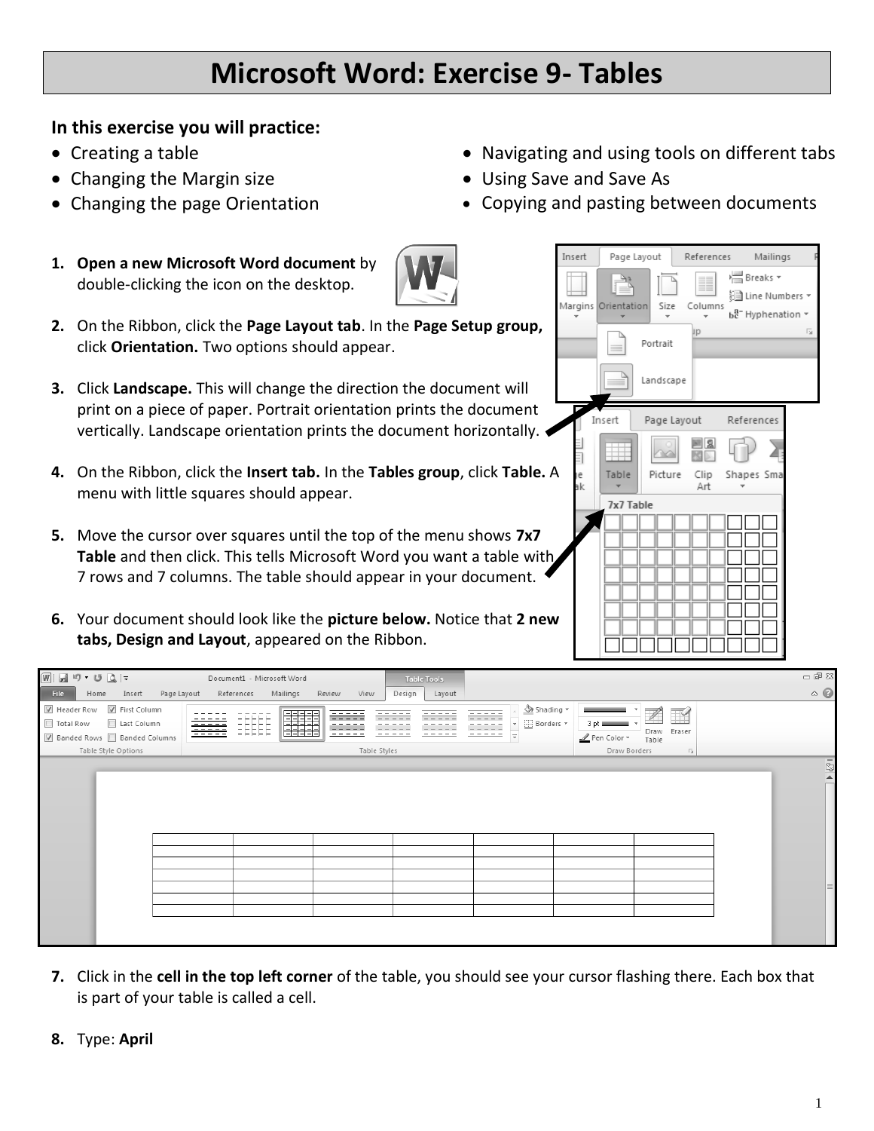## **Microsoft Word: Exercise 9- Tables**

## **In this exercise you will practice:**

- Creating a table
- Changing the Margin size
- Changing the page Orientation
- **1. Open a new Microsoft Word document** by double-clicking the icon on the desktop.



- **2.** On the Ribbon, click the **Page Layout tab**. In the **Page Setup group,** click **Orientation.** Two options should appear.
- **3.** Click **Landscape.** This will change the direction the document will print on a piece of paper. Portrait orientation prints the document vertically. Landscape orientation prints the document horizontally.
- **4.** On the Ribbon, click the Insert tab. In the Tables group, click Table. menu with little squares should appear.
- **5.** Move the cursor over squares until the top of the menu shows **7x7 Table** and then click. This tells Microsoft Word you want a table with 7 rows and 7 columns. The table should appear in your document.
- **6.** Your document should look like the picture below. Notice that 2 new **tabs, Design and Layout**, appeared on the Ribbon.

|     | Insert   | Page Layout         |             | References  |            | Mailings                                                      | F  |
|-----|----------|---------------------|-------------|-------------|------------|---------------------------------------------------------------|----|
|     |          | Margins Orientation | Size        | Columns     | י⊟ Breaks  | ैं Line Numbers ▼<br>$b_c^{\text{a}-}$ Hyphenation $\sqrt{ }$ |    |
|     |          |                     | Portrait    | Jp          |            |                                                               | 同. |
|     |          |                     | Landscape   |             |            |                                                               |    |
|     |          | Insert              | Page Layout |             | References |                                                               |    |
|     |          |                     |             |             |            |                                                               |    |
| . А | le<br>эk | Table               | Picture     | Clip<br>Art | Shapes Sma |                                                               |    |
|     |          | 7x7 Table           |             |             |            |                                                               |    |
| th, |          |                     |             |             |            |                                                               |    |
| ⊇W  |          |                     |             |             |            |                                                               |    |
|     |          |                     |             |             |            |                                                               |    |

• Navigating and using tools on different tabs

• Copying and pasting between documents

• Using Save and Save As

| $\boxed{\mathsf{W}}\mathrel{\mathop:}=\mathsf{W}\mathrel{\mathop:} \mathsf{V}\mathrel{\mathop:} \mathsf{V}\mathrel{\mathop:} \mathsf{W}\mathrel{\mathop:}=\mathsf{W}$ | Document1 - Microsoft Word                          |                                               | <b>Table Tools</b> |                                                                                                    |                                                                    | 一 印 83                          |
|-----------------------------------------------------------------------------------------------------------------------------------------------------------------------|-----------------------------------------------------|-----------------------------------------------|--------------------|----------------------------------------------------------------------------------------------------|--------------------------------------------------------------------|---------------------------------|
| File<br>Insert<br>Home                                                                                                                                                | Page Layout References<br>Mailings                  | Review<br>View<br>Design                      | Layout             |                                                                                                    |                                                                    | $\circ$ $\circ$                 |
| M Header Row M First Column<br>Total Row<br>Last Column<br>■ Banded Rows ■ Banded Columns<br>Table Style Options                                                      | 年生<br>佳田生<br><b>EEEEE</b><br>- - - - -<br>- - - - - | <u> -----</u><br>-----<br>---<br>Table Styles | -----              | <b><sup>√</sup></b> > Shading ▼<br>E Borders *<br>$3$ pt $=$<br>- -<br>Pen Color *<br>Draw Borders | $\mathbb{Z}$<br>$\mathbb{R}$<br>Draw Eraser<br>Table<br>$\sqrt{2}$ |                                 |
|                                                                                                                                                                       |                                                     |                                               |                    |                                                                                                    |                                                                    |                                 |
|                                                                                                                                                                       |                                                     |                                               |                    |                                                                                                    |                                                                    | $\overline{1}$ & $\overline{2}$ |

- **7.** Click in the **cell in the top left corner** of the table, you should see your cursor flashing there. Each box that is part of your table is called a cell.
- **8.** Type: **April**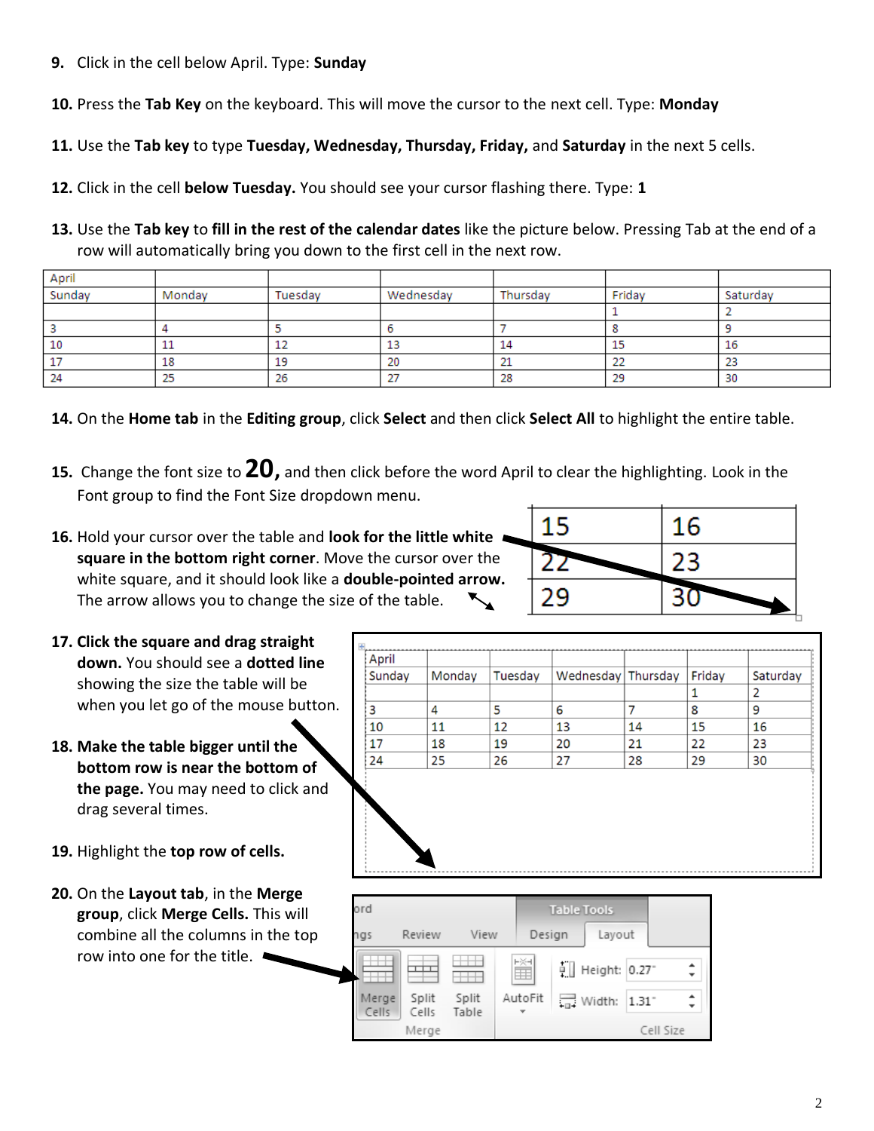- **9.** Click in the cell below April. Type: **Sunday**
- **10.** Press the **Tab Key** on the keyboard. This will move the cursor to the next cell. Type: **Monday**
- **11.** Use the **Tab key** to type **Tuesday, Wednesday, Thursday, Friday,** and **Saturday** in the next 5 cells.
- **12.** Click in the cell **below Tuesday.** You should see your cursor flashing there. Type: **1**
- **13.** Use the **Tab key** to **fill in the rest of the calendar dates** like the picture below. Pressing Tab at the end of a row will automatically bring you down to the first cell in the next row.

| April  |        |         |              |          |                   |          |
|--------|--------|---------|--------------|----------|-------------------|----------|
| Sunday | Mondav | Tuesday | Wednesday    | Thursday | Fridav            | Saturday |
|        |        |         |              |          |                   |          |
|        |        |         |              |          |                   |          |
| 10     |        | 12      | 13           | 14       | 15                | 16       |
|        | 18     | 19      | 20           | ᅩ        | <b>STAR</b><br>22 | 23       |
| 24     | 23     | 26      | $\sim$<br>21 | 28       | 29                | 30       |

- **14.** On the **Home tab** in the **Editing group**, click **Select** and then click **Select All** to highlight the entire table.
- **15.** Change the font size to **20,** and then click before the word April to clear the highlighting. Look in the Font group to find the Font Size dropdown menu.
- **16.** Hold your cursor over the table and **look for the little white square in the bottom right corner**. Move the cursor over the white square, and it should look like a **double-pointed arrow.** The arrow allows you to change the size of the table.
- **17. Click the square and drag straight down.** You should see a **dotted line** showing the size the table will be when you let go of the mouse button.
- **18. Make the table bigger until the bottom row is near the bottom of the page.** You may need to click and drag several times.
- **19.** Highlight the **top row of cells.**
- **20.** On the **Layout tab**, in the **Merge group**, click **Merge Cells.** This will combine all the columns in the top row into one for the title.

| Saturday       |
|----------------|
|                |
| $\overline{2}$ |
| 9              |
| 16             |
| 23             |
| 30             |
|                |

15

22

29

16

23

30

| ord            |                |                |         | <b>Table Tools</b> |                             |           |        |
|----------------|----------------|----------------|---------|--------------------|-----------------------------|-----------|--------|
| <b>ngs</b>     | Review         | View           | Design  |                    | Layout                      |           |        |
|                |                |                | 鬮       |                    | $\frac{1}{2}$ Height: 0.27" |           | ٠<br>÷ |
| Merge<br>Cells | Split<br>Cells | Split<br>Table | AutoFit |                    | $\frac{1}{100}$ Width: 1.31 |           |        |
|                | Merge          |                |         |                    |                             | Cell Size |        |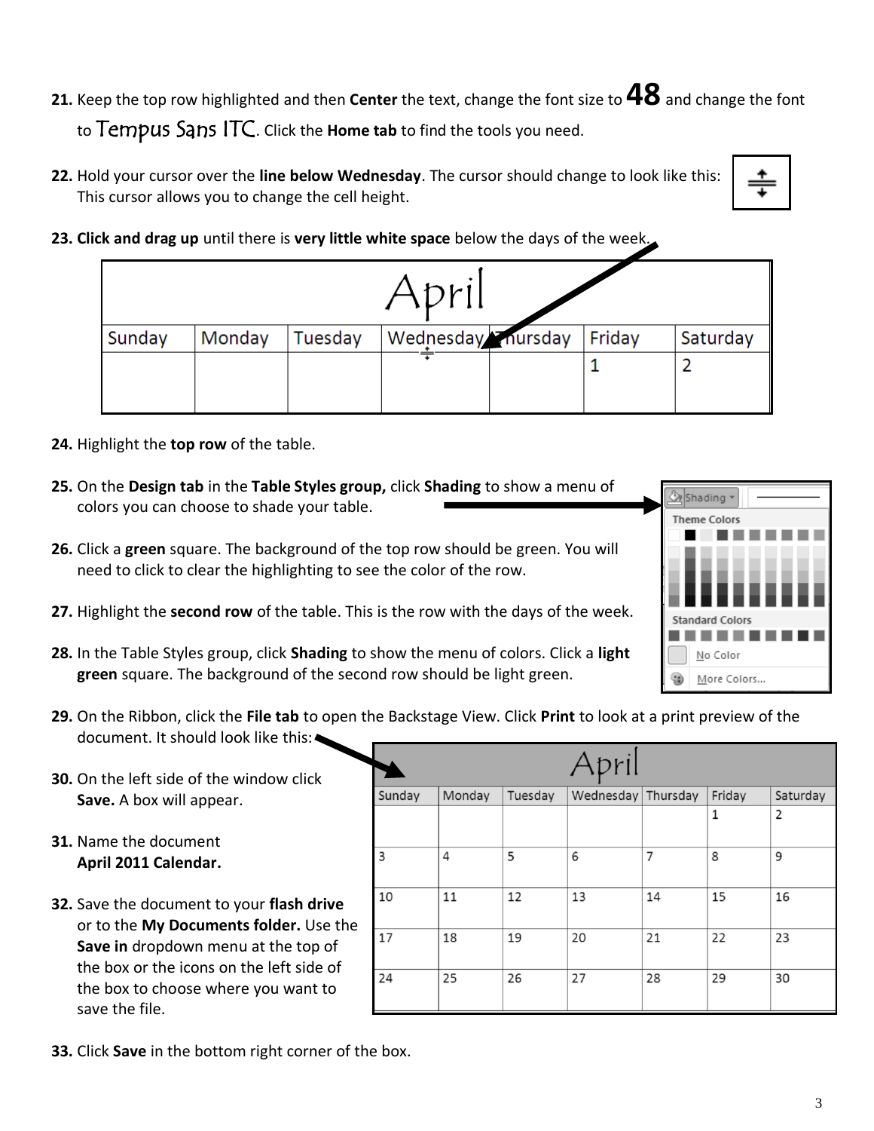- **21.** Keep the top row highlighted and then **Center** the text, change the font size to **48**and change the font to Tempus Sans ITC. Click the **Home tab** to find the tools you need.
- **22.** Hold your cursor over the **line below Wednesday**. The cursor should change to look like this: This cursor allows you to change the cell height.

| ۰. |
|----|
|    |
| ۰. |
|    |

**23. Click and drag up** until there is **very little white space** below the days of the week.

|        |        |         | Adril              |        |          |
|--------|--------|---------|--------------------|--------|----------|
| Sunday | Monday | Tuesday | Wednesday Thursday | Friday | Saturday |
|        |        |         |                    |        |          |
|        |        |         |                    |        |          |

- **24.** Highlight the **top row** of the table.
- **25.** On the **Design tab** in the **Table Styles group,** click **Shading** to show a menu of colors you can choose to shade your table.
- **26.** Click a **green** square. The background of the top row should be green. You will need to click to clear the highlighting to see the color of the row.
- **27.** Highlight the **second row** of the table. This is the row with the days of the week.
- **28.** In the Table Styles group, click **Shading** to show the menu of colors. Click a **light green** square. The background of the second row should be light green.
- Standard Color No Color More Colors...

Shading v Theme Colors

- **29.** On the Ribbon, click the **File tab** to open the Backstage View. Click **Print** to look at a print preview of the document. It should look like this:
- **30.** On the left side of the window click **Save.** A box will appear.
- **31.** Name the document **April 2011 Calendar.**
- **32.** Save the document to your **flash drive**  or to the **My Documents folder.** Use the **Save in** dropdown menu at the top of the box or the icons on the left side of the box to choose where you want to save the file.

|        |        |         | April              |    |        |          |
|--------|--------|---------|--------------------|----|--------|----------|
| Sunday | Monday | Tuesday | Wednesday Thursday |    | Friday | Saturday |
|        |        |         |                    |    | 1      | 2        |
| 3      | 4      | 5       | 6                  | 7  | 8      | 9        |
| 10     | 11     | 12      | 13                 | 14 | 15     | 16       |
| 17     | 18     | 19      | 20                 | 21 | 22     | 23       |
| 24     | 25     | 26      | 27                 | 28 | 29     | 30       |

**33.** Click **Save** in the bottom right corner of the box.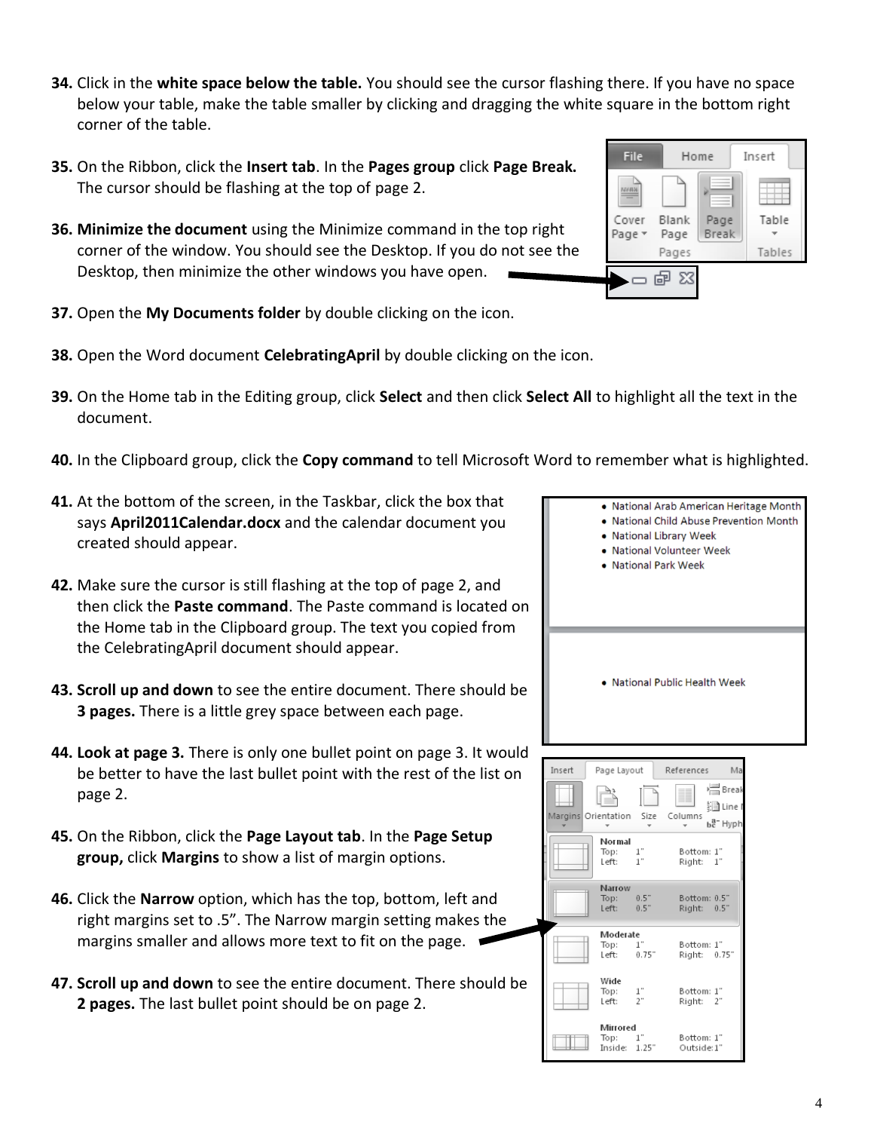- **34.** Click in the **white space below the table.** You should see the cursor flashing there. If you have no space below your table, make the table smaller by clicking and dragging the white square in the bottom right corner of the table.
- **35.** On the Ribbon, click the **Insert tab**. In the **Pages group** click **Page Break.** The cursor should be flashing at the top of page 2.
- **36. Minimize the document** using the Minimize command in the top right corner of the window. You should see the Desktop. If you do not see the Desktop, then minimize the other windows you have open.
- **37.** Open the **My Documents folder** by double clicking on the icon.
- **38.** Open the Word document **CelebratingApril** by double clicking on the icon.
- **39.** On the Home tab in the Editing group, click **Select** and then click **Select All** to highlight all the text in the document.
- **40.** In the Clipboard group, click the **Copy command** to tell Microsoft Word to remember what is highlighted.
- **41.** At the bottom of the screen, in the Taskbar, click the box that says **April2011Calendar.docx** and the calendar document you created should appear.
- **42.** Make sure the cursor is still flashing at the top of page 2, and then click the **Paste command**. The Paste command is located on the Home tab in the Clipboard group. The text you copied from the CelebratingApril document should appear.
- **43. Scroll up and down** to see the entire document. There should be **3 pages.** There is a little grey space between each page.
- **44. Look at page 3.** There is only one bullet point on page 3. It would be better to have the last bullet point with the rest of the list on page 2.
- **45.** On the Ribbon, click the **Page Layout tab**. In the **Page Setup group,** click **Margins** to show a list of margin options.
- **46.** Click the **Narrow** option, which has the top, bottom, left and right margins set to .5". The Narrow margin setting makes the margins smaller and allows more text to fit on the page.
- **47. Scroll up and down** to see the entire document. There should be **2 pages.** The last bullet point should be on page 2.







• National Arab American Heritage Month • National Child Abuse Prevention Month

• National Library Week